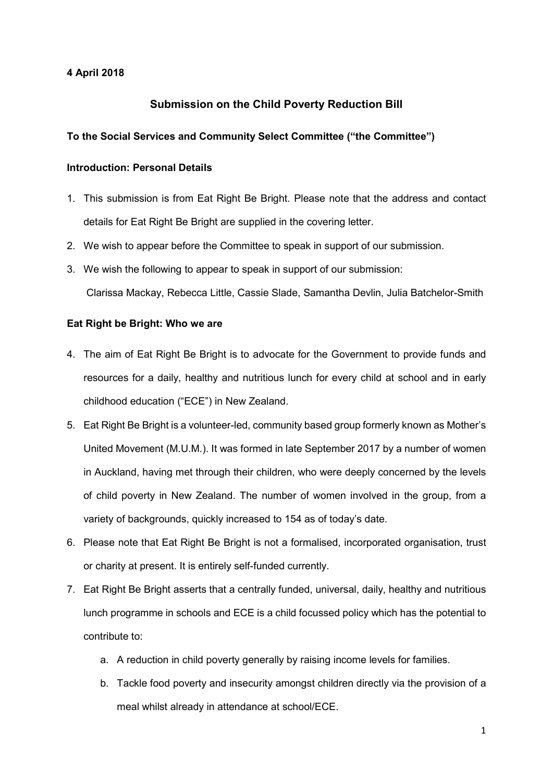### 4 April 2018

# Submission on the Child Poverty Reduction Bill

### To the Social Services and Community Select Committee ("the Committee")

# Introduction: Personal Details

- 1. This submission is from Eat Right Be Bright. Please note that the address and contact details for Eat Right Be Bright are supplied in the covering letter.
- 2. We wish to appear before the Committee to speak in support of our submission.
- 3. We wish the following to appear to speak in support of our submission: Clarissa Mackay, Rebecca Little, Cassie Slade, Samantha Devlin, Julia Batchelor-Smith

### Eat Right be Bright: Who we are

- 4. The aim of Eat Right Be Bright is to advocate for the Government to provide funds and resources for a daily, healthy and nutritious lunch for every child at school and in early childhood education ("ECE") in New Zealand.
- 5. Eat Right Be Bright is a volunteer-led, community based group formerly known as Mother's United Movement (M.U.M.). It was formed in late September 2017 by a number of women in Auckland, having met through their children, who were deeply concerned by the levels of child poverty in New Zealand. The number of women involved in the group, from a variety of backgrounds, quickly increased to 154 as of today's date.
- 6. Please note that Eat Right Be Bright is not a formalised, incorporated organisation, trust or charity at present. It is entirely self-funded currently.
- 7. Eat Right Be Bright asserts that a centrally funded, universal, daily, healthy and nutritious lunch programme in schools and ECE is a child focussed policy which has the potential to contribute to:
	- a. A reduction in child poverty generally by raising income levels for families.
	- b. Tackle food poverty and insecurity amongst children directly via the provision of a meal whilst already in attendance at school/ECE.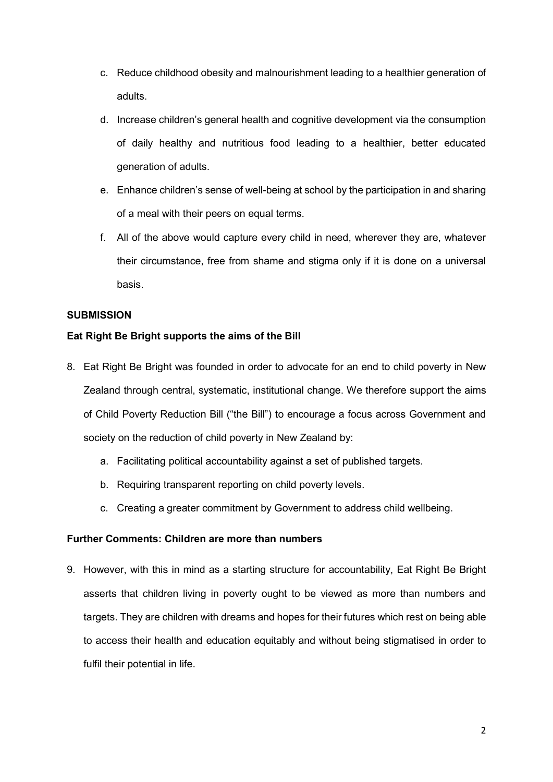- c. Reduce childhood obesity and malnourishment leading to a healthier generation of adults.
- d. Increase children's general health and cognitive development via the consumption of daily healthy and nutritious food leading to a healthier, better educated generation of adults.
- e. Enhance children's sense of well-being at school by the participation in and sharing of a meal with their peers on equal terms.
- f. All of the above would capture every child in need, wherever they are, whatever their circumstance, free from shame and stigma only if it is done on a universal basis.

## **SUBMISSION**

### Eat Right Be Bright supports the aims of the Bill

- 8. Eat Right Be Bright was founded in order to advocate for an end to child poverty in New Zealand through central, systematic, institutional change. We therefore support the aims of Child Poverty Reduction Bill ("the Bill") to encourage a focus across Government and society on the reduction of child poverty in New Zealand by:
	- a. Facilitating political accountability against a set of published targets.
	- b. Requiring transparent reporting on child poverty levels.
	- c. Creating a greater commitment by Government to address child wellbeing.

### Further Comments: Children are more than numbers

9. However, with this in mind as a starting structure for accountability, Eat Right Be Bright asserts that children living in poverty ought to be viewed as more than numbers and targets. They are children with dreams and hopes for their futures which rest on being able to access their health and education equitably and without being stigmatised in order to fulfil their potential in life.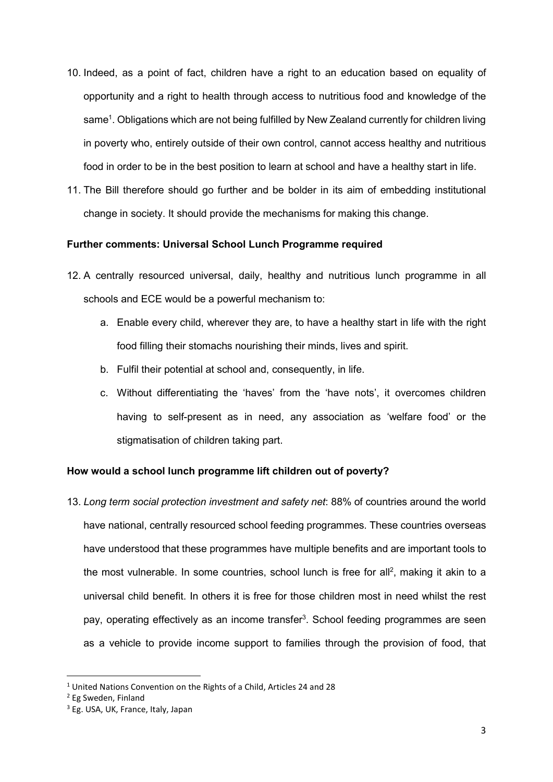- 10. Indeed, as a point of fact, children have a right to an education based on equality of opportunity and a right to health through access to nutritious food and knowledge of the same<sup>1</sup>. Obligations which are not being fulfilled by New Zealand currently for children living in poverty who, entirely outside of their own control, cannot access healthy and nutritious food in order to be in the best position to learn at school and have a healthy start in life.
- 11. The Bill therefore should go further and be bolder in its aim of embedding institutional change in society. It should provide the mechanisms for making this change.

### Further comments: Universal School Lunch Programme required

- 12. A centrally resourced universal, daily, healthy and nutritious lunch programme in all schools and ECE would be a powerful mechanism to:
	- a. Enable every child, wherever they are, to have a healthy start in life with the right food filling their stomachs nourishing their minds, lives and spirit.
	- b. Fulfil their potential at school and, consequently, in life.
	- c. Without differentiating the 'haves' from the 'have nots', it overcomes children having to self-present as in need, any association as 'welfare food' or the stigmatisation of children taking part.

# How would a school lunch programme lift children out of poverty?

13. Long term social protection investment and safety net: 88% of countries around the world have national, centrally resourced school feeding programmes. These countries overseas have understood that these programmes have multiple benefits and are important tools to the most vulnerable. In some countries, school lunch is free for all<sup>2</sup>, making it akin to a universal child benefit. In others it is free for those children most in need whilst the rest pay, operating effectively as an income transfer<sup>3</sup>. School feeding programmes are seen as a vehicle to provide income support to families through the provision of food, that

<sup>&</sup>lt;sup>1</sup> United Nations Convention on the Rights of a Child, Articles 24 and 28

<sup>2</sup> Eg Sweden, Finland

<sup>&</sup>lt;sup>3</sup> Eg. USA, UK, France, Italy, Japan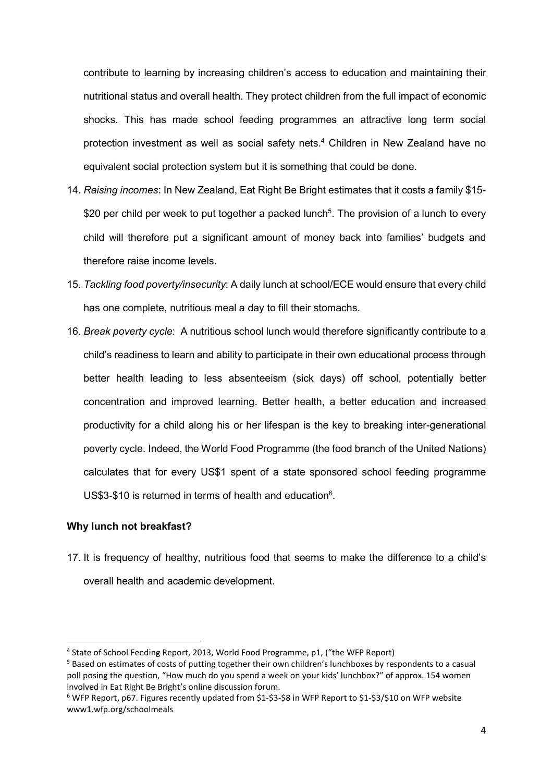contribute to learning by increasing children's access to education and maintaining their nutritional status and overall health. They protect children from the full impact of economic shocks. This has made school feeding programmes an attractive long term social protection investment as well as social safety nets.<sup>4</sup> Children in New Zealand have no equivalent social protection system but it is something that could be done.

- 14. Raising incomes: In New Zealand, Eat Right Be Bright estimates that it costs a family \$15-\$20 per child per week to put together a packed lunch<sup>5</sup>. The provision of a lunch to every child will therefore put a significant amount of money back into families' budgets and therefore raise income levels.
- 15. Tackling food poverty/insecurity: A daily lunch at school/ECE would ensure that every child has one complete, nutritious meal a day to fill their stomachs.
- 16. Break poverty cycle: A nutritious school lunch would therefore significantly contribute to a child's readiness to learn and ability to participate in their own educational process through better health leading to less absenteeism (sick days) off school, potentially better concentration and improved learning. Better health, a better education and increased productivity for a child along his or her lifespan is the key to breaking inter-generational poverty cycle. Indeed, the World Food Programme (the food branch of the United Nations) calculates that for every US\$1 spent of a state sponsored school feeding programme US\$3-\$10 is returned in terms of health and education<sup>6</sup>.

### Why lunch not breakfast?

-

17. It is frequency of healthy, nutritious food that seems to make the difference to a child's overall health and academic development.

<sup>&</sup>lt;sup>4</sup> State of School Feeding Report, 2013, World Food Programme, p1, ("the WFP Report)

<sup>&</sup>lt;sup>5</sup> Based on estimates of costs of putting together their own children's lunchboxes by respondents to a casual poll posing the question, "How much do you spend a week on your kids' lunchbox?" of approx. 154 women involved in Eat Right Be Bright's online discussion forum.

<sup>6</sup> WFP Report, p67. Figures recently updated from \$1-\$3-\$8 in WFP Report to \$1-\$3/\$10 on WFP website www1.wfp.org/schoolmeals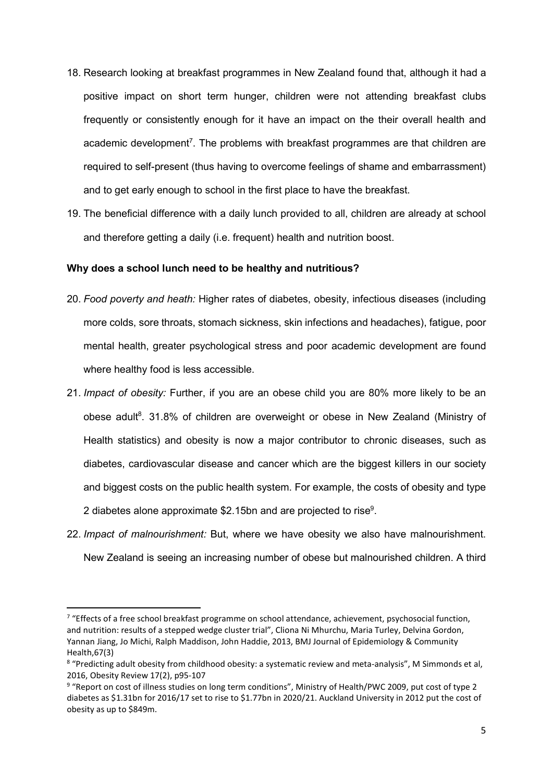- 18. Research looking at breakfast programmes in New Zealand found that, although it had a positive impact on short term hunger, children were not attending breakfast clubs frequently or consistently enough for it have an impact on the their overall health and academic development<sup>7</sup>. The problems with breakfast programmes are that children are required to self-present (thus having to overcome feelings of shame and embarrassment) and to get early enough to school in the first place to have the breakfast.
- 19. The beneficial difference with a daily lunch provided to all, children are already at school and therefore getting a daily (i.e. frequent) health and nutrition boost.

### Why does a school lunch need to be healthy and nutritious?

- 20. Food poverty and heath: Higher rates of diabetes, obesity, infectious diseases (including more colds, sore throats, stomach sickness, skin infections and headaches), fatigue, poor mental health, greater psychological stress and poor academic development are found where healthy food is less accessible.
- 21. Impact of obesity: Further, if you are an obese child you are 80% more likely to be an obese adult<sup>8</sup>. 31.8% of children are overweight or obese in New Zealand (Ministry of Health statistics) and obesity is now a major contributor to chronic diseases, such as diabetes, cardiovascular disease and cancer which are the biggest killers in our society and biggest costs on the public health system. For example, the costs of obesity and type 2 diabetes alone approximate \$2.15bn and are projected to rise<sup>9</sup>.
- 22. Impact of malnourishment: But, where we have obesity we also have malnourishment. New Zealand is seeing an increasing number of obese but malnourished children. A third

<sup>&</sup>lt;sup>7</sup> "Effects of a free school breakfast programme on school attendance, achievement, psychosocial function, and nutrition: results of a stepped wedge cluster trial", Cliona Ni Mhurchu, Maria Turley, Delvina Gordon, Yannan Jiang, Jo Michi, Ralph Maddison, John Haddie, 2013, BMJ Journal of Epidemiology & Community Health,67(3)

<sup>&</sup>lt;sup>8</sup> "Predicting adult obesity from childhood obesity: a systematic review and meta-analysis", M Simmonds et al, 2016, Obesity Review 17(2), p95-107

<sup>&</sup>lt;sup>9</sup> "Report on cost of illness studies on long term conditions", Ministry of Health/PWC 2009, put cost of type 2 diabetes as \$1.31bn for 2016/17 set to rise to \$1.77bn in 2020/21. Auckland University in 2012 put the cost of obesity as up to \$849m.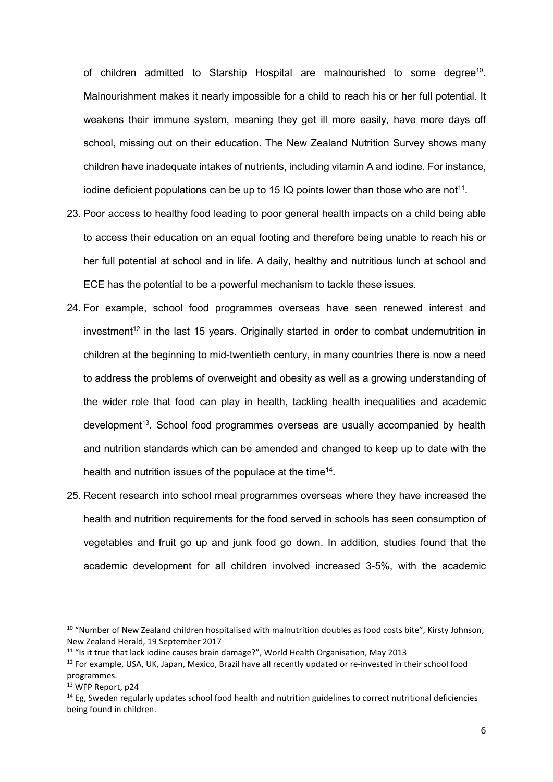of children admitted to Starship Hospital are malnourished to some degree<sup>10</sup>. Malnourishment makes it nearly impossible for a child to reach his or her full potential. It weakens their immune system, meaning they get ill more easily, have more days off school, missing out on their education. The New Zealand Nutrition Survey shows many children have inadequate intakes of nutrients, including vitamin A and iodine. For instance, iodine deficient populations can be up to 15 IQ points lower than those who are not<sup>11</sup>.

- 23. Poor access to healthy food leading to poor general health impacts on a child being able to access their education on an equal footing and therefore being unable to reach his or her full potential at school and in life. A daily, healthy and nutritious lunch at school and ECE has the potential to be a powerful mechanism to tackle these issues.
- 24. For example, school food programmes overseas have seen renewed interest and  $investment<sup>12</sup>$  in the last 15 years. Originally started in order to combat undernutrition in children at the beginning to mid-twentieth century, in many countries there is now a need to address the problems of overweight and obesity as well as a growing understanding of the wider role that food can play in health, tackling health inequalities and academic  $development<sup>13</sup>$ . School food programmes overseas are usually accompanied by health and nutrition standards which can be amended and changed to keep up to date with the health and nutrition issues of the populace at the time<sup>14</sup>.
- 25. Recent research into school meal programmes overseas where they have increased the health and nutrition requirements for the food served in schools has seen consumption of vegetables and fruit go up and junk food go down. In addition, studies found that the academic development for all children involved increased 3-5%, with the academic

<sup>&</sup>lt;sup>10</sup> "Number of New Zealand children hospitalised with malnutrition doubles as food costs bite", Kirsty Johnson, New Zealand Herald, 19 September 2017

<sup>11</sup> "Is it true that lack iodine causes brain damage?", World Health Organisation, May 2013

<sup>&</sup>lt;sup>12</sup> For example, USA, UK, Japan, Mexico, Brazil have all recently updated or re-invested in their school food programmes.

<sup>13</sup> WFP Report, p24

 $14$  Eg, Sweden regularly updates school food health and nutrition guidelines to correct nutritional deficiencies being found in children.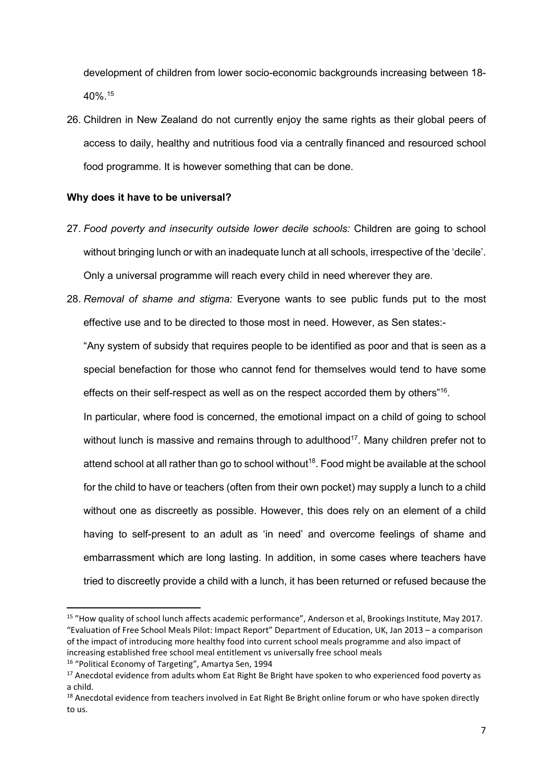development of children from lower socio-economic backgrounds increasing between 18- 40%.<sup>15</sup>

26. Children in New Zealand do not currently enjoy the same rights as their global peers of access to daily, healthy and nutritious food via a centrally financed and resourced school food programme. It is however something that can be done.

### Why does it have to be universal?

- 27. Food poverty and insecurity outside lower decile schools: Children are going to school without bringing lunch or with an inadequate lunch at all schools, irrespective of the 'decile'. Only a universal programme will reach every child in need wherever they are.
- 28. Removal of shame and stigma: Everyone wants to see public funds put to the most effective use and to be directed to those most in need. However, as Sen states:-

"Any system of subsidy that requires people to be identified as poor and that is seen as a special benefaction for those who cannot fend for themselves would tend to have some effects on their self-respect as well as on the respect accorded them by others"<sup>16</sup>.

In particular, where food is concerned, the emotional impact on a child of going to school without lunch is massive and remains through to adulthood<sup>17</sup>. Many children prefer not to attend school at all rather than go to school without<sup>18</sup>. Food might be available at the school for the child to have or teachers (often from their own pocket) may supply a lunch to a child without one as discreetly as possible. However, this does rely on an element of a child having to self-present to an adult as 'in need' and overcome feelings of shame and embarrassment which are long lasting. In addition, in some cases where teachers have tried to discreetly provide a child with a lunch, it has been returned or refused because the

<sup>16</sup> "Political Economy of Targeting", Amartya Sen, 1994

<sup>&</sup>lt;sup>15</sup> "How quality of school lunch affects academic performance", Anderson et al, Brookings Institute, May 2017. "Evaluation of Free School Meals Pilot: Impact Report" Department of Education, UK, Jan 2013 – a comparison of the impact of introducing more healthy food into current school meals programme and also impact of increasing established free school meal entitlement vs universally free school meals

<sup>&</sup>lt;sup>17</sup> Anecdotal evidence from adults whom Eat Right Be Bright have spoken to who experienced food poverty as a child.

<sup>&</sup>lt;sup>18</sup> Anecdotal evidence from teachers involved in Eat Right Be Bright online forum or who have spoken directly to us.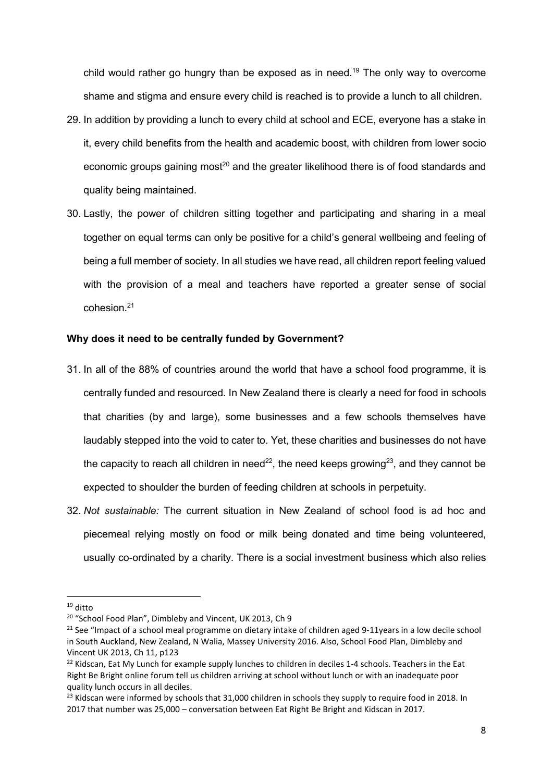child would rather go hungry than be exposed as in need.<sup>19</sup> The only way to overcome shame and stigma and ensure every child is reached is to provide a lunch to all children.

- 29. In addition by providing a lunch to every child at school and ECE, everyone has a stake in it, every child benefits from the health and academic boost, with children from lower socio economic groups gaining most<sup>20</sup> and the greater likelihood there is of food standards and quality being maintained.
- 30. Lastly, the power of children sitting together and participating and sharing in a meal together on equal terms can only be positive for a child's general wellbeing and feeling of being a full member of society. In all studies we have read, all children report feeling valued with the provision of a meal and teachers have reported a greater sense of social cohesion.<sup>21</sup>

### Why does it need to be centrally funded by Government?

- 31. In all of the 88% of countries around the world that have a school food programme, it is centrally funded and resourced. In New Zealand there is clearly a need for food in schools that charities (by and large), some businesses and a few schools themselves have laudably stepped into the void to cater to. Yet, these charities and businesses do not have the capacity to reach all children in need<sup>22</sup>, the need keeps growing<sup>23</sup>, and they cannot be expected to shoulder the burden of feeding children at schools in perpetuity.
- 32. Not sustainable: The current situation in New Zealand of school food is ad hoc and piecemeal relying mostly on food or milk being donated and time being volunteered, usually co-ordinated by a charity. There is a social investment business which also relies

 $19$  ditto

<sup>20</sup> "School Food Plan", Dimbleby and Vincent, UK 2013, Ch 9

<sup>&</sup>lt;sup>21</sup> See "Impact of a school meal programme on dietary intake of children aged 9-11years in a low decile school in South Auckland, New Zealand, N Walia, Massey University 2016. Also, School Food Plan, Dimbleby and Vincent UK 2013, Ch 11, p123

<sup>&</sup>lt;sup>22</sup> Kidscan, Eat My Lunch for example supply lunches to children in deciles 1-4 schools. Teachers in the Eat Right Be Bright online forum tell us children arriving at school without lunch or with an inadequate poor quality lunch occurs in all deciles.

<sup>&</sup>lt;sup>23</sup> Kidscan were informed by schools that 31,000 children in schools they supply to require food in 2018. In 2017 that number was 25,000 – conversation between Eat Right Be Bright and Kidscan in 2017.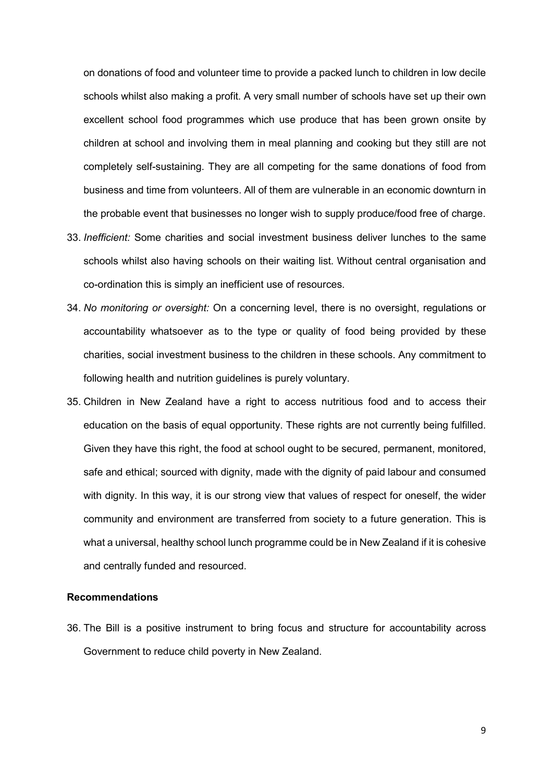on donations of food and volunteer time to provide a packed lunch to children in low decile schools whilst also making a profit. A very small number of schools have set up their own excellent school food programmes which use produce that has been grown onsite by children at school and involving them in meal planning and cooking but they still are not completely self-sustaining. They are all competing for the same donations of food from business and time from volunteers. All of them are vulnerable in an economic downturn in the probable event that businesses no longer wish to supply produce/food free of charge.

- 33. Inefficient: Some charities and social investment business deliver lunches to the same schools whilst also having schools on their waiting list. Without central organisation and co-ordination this is simply an inefficient use of resources.
- 34. No monitoring or oversight: On a concerning level, there is no oversight, regulations or accountability whatsoever as to the type or quality of food being provided by these charities, social investment business to the children in these schools. Any commitment to following health and nutrition guidelines is purely voluntary.
- 35. Children in New Zealand have a right to access nutritious food and to access their education on the basis of equal opportunity. These rights are not currently being fulfilled. Given they have this right, the food at school ought to be secured, permanent, monitored, safe and ethical; sourced with dignity, made with the dignity of paid labour and consumed with dignity. In this way, it is our strong view that values of respect for oneself, the wider community and environment are transferred from society to a future generation. This is what a universal, healthy school lunch programme could be in New Zealand if it is cohesive and centrally funded and resourced.

#### Recommendations

36. The Bill is a positive instrument to bring focus and structure for accountability across Government to reduce child poverty in New Zealand.